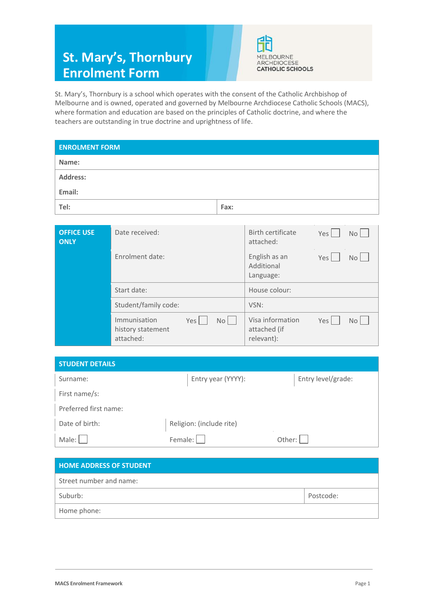# **St. Mary's, Thornbury Enrolment Form**



St. Mary's, Thornbury is a school which operates with the consent of the Catholic Archbishop of Melbourne and is owned, operated and governed by Melbourne Archdiocese Catholic Schools (MACS), where formation and education are based on the principles of Catholic doctrine, and where the teachers are outstanding in true doctrine and uprightness of life.

| <b>ENROLMENT FORM</b> |      |
|-----------------------|------|
| Name:                 |      |
| Address:              |      |
| Email:                |      |
| Tel:                  | Fax: |
|                       |      |

| <b>OFFICE USE</b><br><b>ONLY</b> | Date received:                                                           | Birth certificate<br>Yes  <br>No L<br>attached:                 |
|----------------------------------|--------------------------------------------------------------------------|-----------------------------------------------------------------|
|                                  | Enrolment date:                                                          | English as an<br>Yes<br>Nol<br>Additional<br>Language:          |
|                                  | Start date:                                                              | House colour:                                                   |
|                                  | Student/family code:                                                     | VSN:                                                            |
|                                  | Immunisation<br>Yes<br>No <sub>1</sub><br>history statement<br>attached: | Visa information<br>Yes  <br>No L<br>attached (if<br>relevant): |

| <b>STUDENT DETAILS</b> |                          |                    |
|------------------------|--------------------------|--------------------|
| Surname:               | Entry year (YYYY):       | Entry level/grade: |
| First name/s:          |                          |                    |
| Preferred first name:  |                          |                    |
| Date of birth:         | Religion: (include rite) |                    |
| Male:                  | Female:                  | Other:             |

| <b>HOME ADDRESS OF STUDENT</b> |           |
|--------------------------------|-----------|
| Street number and name:        |           |
| Suburb:                        | Postcode: |
| Home phone:                    |           |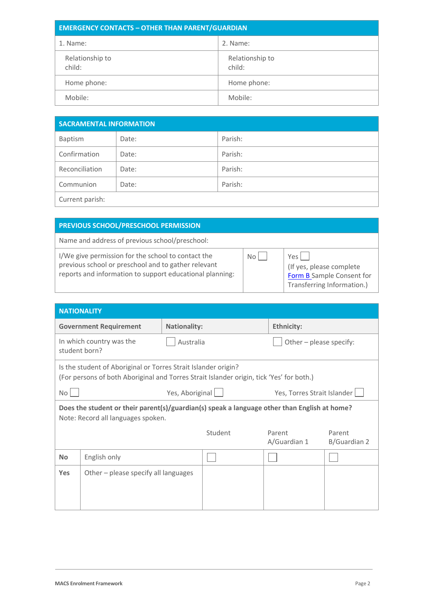| <b>EMERGENCY CONTACTS - OTHER THAN PARENT/GUARDIAN</b> |                           |  |
|--------------------------------------------------------|---------------------------|--|
| 1. Name:                                               | 2. Name:                  |  |
| Relationship to<br>child:                              | Relationship to<br>child: |  |
| Home phone:                                            | Home phone:               |  |
| Mobile:                                                | Mobile:                   |  |

| <b>SACRAMENTAL INFORMATION</b> |       |         |
|--------------------------------|-------|---------|
| Baptism                        | Date: | Parish: |
| Confirmation                   | Date: | Parish: |
| Reconciliation                 | Date: | Parish: |
| Communion                      | Date: | Parish: |
| Current parish:                |       |         |

### **PREVIOUS SCHOOL/PRESCHOOL PERMISSION**

Name and address of previous school/preschool:

I/We give permission for the school to contact the previous school or preschool and to gather relevant reports and information to support educational planning:

| No <sub>1</sub> | Yes          |
|-----------------|--------------|
|                 | (If yes, ple |
|                 | Form B Sa    |
|                 | Transferr    |

ease complete ample Consent for ing Information.)

| <b>NATIONALITY</b>                                                                                                                                         |                                                |                     |         |                         |                        |  |
|------------------------------------------------------------------------------------------------------------------------------------------------------------|------------------------------------------------|---------------------|---------|-------------------------|------------------------|--|
|                                                                                                                                                            | <b>Government Requirement</b>                  | <b>Nationality:</b> |         | <b>Ethnicity:</b>       |                        |  |
|                                                                                                                                                            | In which country was the<br>student born?      | Australia           |         | Other - please specify: |                        |  |
| Is the student of Aboriginal or Torres Strait Islander origin?<br>(For persons of both Aboriginal and Torres Strait Islander origin, tick 'Yes' for both.) |                                                |                     |         |                         |                        |  |
| No                                                                                                                                                         | Yes, Aboriginal<br>Yes, Torres Strait Islander |                     |         |                         |                        |  |
| Does the student or their parent(s)/guardian(s) speak a language other than English at home?<br>Note: Record all languages spoken.                         |                                                |                     |         |                         |                        |  |
|                                                                                                                                                            |                                                |                     | Student | Parent<br>A/Guardian 1  | Parent<br>B/Guardian 2 |  |
| <b>No</b>                                                                                                                                                  | English only                                   |                     |         |                         |                        |  |
| <b>Yes</b>                                                                                                                                                 | Other $-$ please specify all languages         |                     |         |                         |                        |  |
|                                                                                                                                                            |                                                |                     |         |                         |                        |  |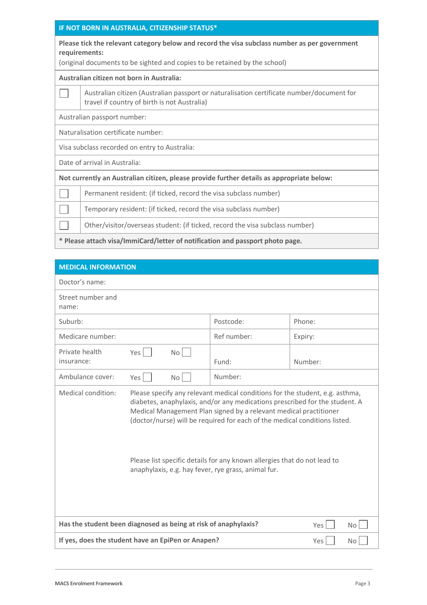#### **IF NOT BORN IN AUSTRALIA, CITIZENSHIP STATUS\***

| Please tick the relevant category below and record the visa subclass number as per government |
|-----------------------------------------------------------------------------------------------|
| requirements:                                                                                 |

(original documents to be sighted and copies to be retained by the school)

#### **Australian citizen not born in Australia:**

| Australian citizen (Australian passport or naturalisation certificate number/document for |
|-------------------------------------------------------------------------------------------|
| <sup>1</sup> travel if country of birth is not Australia)                                 |

Australian passport number:

Naturalisation certificate number:

Visa subclass recorded on entry to Australia:

Date of arrival in Australia:

 $\vert \hspace{.8mm} \vert$ 

 $\Box$ 

**Not currently an Australian citizen, please provide further details as appropriate below:**

Permanent resident: (if ticked, record the visa subclass number)

Temporary resident: (if ticked, record the visa subclass number)

٦ Other/visitor/overseas student: (if ticked, record the visa subclass number)

**\* Please attach visa/ImmiCard/letter of notification and passport photo page.**

| <b>MEDICAL INFORMATION</b>                                                                                                                                                                                                                                                                                                                                                                                                                                              |                                                                 |    |             |         |
|-------------------------------------------------------------------------------------------------------------------------------------------------------------------------------------------------------------------------------------------------------------------------------------------------------------------------------------------------------------------------------------------------------------------------------------------------------------------------|-----------------------------------------------------------------|----|-------------|---------|
| Doctor's name:                                                                                                                                                                                                                                                                                                                                                                                                                                                          |                                                                 |    |             |         |
| Street number and<br>name:                                                                                                                                                                                                                                                                                                                                                                                                                                              |                                                                 |    |             |         |
| Suburb:                                                                                                                                                                                                                                                                                                                                                                                                                                                                 |                                                                 |    | Postcode:   | Phone:  |
| Medicare number:                                                                                                                                                                                                                                                                                                                                                                                                                                                        |                                                                 |    | Ref number: | Expiry: |
| Private health<br>insurance:                                                                                                                                                                                                                                                                                                                                                                                                                                            | Yes                                                             | No | Fund:       | Number: |
| Ambulance cover:                                                                                                                                                                                                                                                                                                                                                                                                                                                        | Yes                                                             | No | Number:     |         |
| Medical condition:<br>Please specify any relevant medical conditions for the student, e.g. asthma,<br>diabetes, anaphylaxis, and/or any medications prescribed for the student. A<br>Medical Management Plan signed by a relevant medical practitioner<br>(doctor/nurse) will be required for each of the medical conditions listed.<br>Please list specific details for any known allergies that do not lead to<br>anaphylaxis, e.g. hay fever, rye grass, animal fur. |                                                                 |    |             |         |
| Has the student been diagnosed as being at risk of anaphylaxis?<br>Yes  <br><b>No</b>                                                                                                                                                                                                                                                                                                                                                                                   |                                                                 |    |             |         |
|                                                                                                                                                                                                                                                                                                                                                                                                                                                                         | If yes, does the student have an EpiPen or Anapen?<br>Yes<br>No |    |             |         |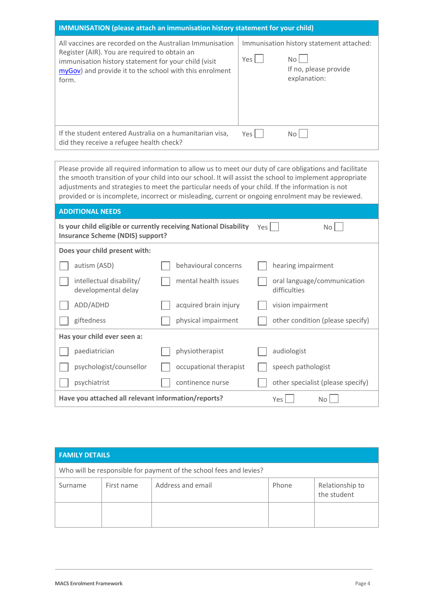| <b>IMMUNISATION</b> (please attach an immunisation history statement for your child) |                                          |
|--------------------------------------------------------------------------------------|------------------------------------------|
| All vaccines are recorded on the Australian Immunisation                             | Immunisation history statement attached: |
| Register (AIR). You are required to obtain an                                        | Yes l                                    |
| immunisation history statement for your child (visit                                 | No l                                     |
| myGov) and provide it to the school with this enrolment                              | If no, please provide                    |
| form.                                                                                | explanation:                             |
| If the student entered Australia on a humanitarian visa,                             | Yes                                      |
| did they receive a refugee health check?                                             | No.                                      |

Please provide all required information to allow us to meet our duty of care obligations and facilitate the smooth transition of your child into our school. It will assist the school to implement appropriate adjustments and strategies to meet the particular needs of your child. If the information is not provided or is incomplete, incorrect or misleading, current or ongoing enrolment may be reviewed.

| <b>ADDITIONAL NEEDS</b>                                                                                      |                        |                                             |
|--------------------------------------------------------------------------------------------------------------|------------------------|---------------------------------------------|
| Is your child eligible or currently receiving National Disability<br><b>Insurance Scheme (NDIS) support?</b> |                        | Yes  <br>No l                               |
| Does your child present with:                                                                                |                        |                                             |
| autism (ASD)                                                                                                 | behavioural concerns   | hearing impairment                          |
| intellectual disability/<br>developmental delay                                                              | mental health issues   | oral language/communication<br>difficulties |
| ADD/ADHD                                                                                                     | acquired brain injury  | vision impairment                           |
| giftedness                                                                                                   | physical impairment    | other condition (please specify)            |
| Has your child ever seen a:                                                                                  |                        |                                             |
| paediatrician                                                                                                | physiotherapist        | audiologist                                 |
| psychologist/counsellor                                                                                      | occupational therapist | speech pathologist                          |
| psychiatrist                                                                                                 | continence nurse       | other specialist (please specify)           |
| Have you attached all relevant information/reports?                                                          |                        | Yes  <br>No                                 |

| <b>FAMILY DETAILS</b>                                              |            |                   |       |                                |
|--------------------------------------------------------------------|------------|-------------------|-------|--------------------------------|
| Who will be responsible for payment of the school fees and levies? |            |                   |       |                                |
| Surname                                                            | First name | Address and email | Phone | Relationship to<br>the student |
|                                                                    |            |                   |       |                                |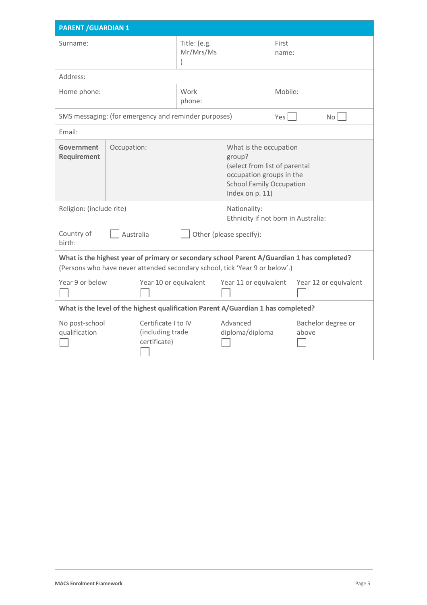| <b>PARENT / GUARDIAN 1</b>                                                                                                                                                |                                                         |                           |                                                                                                                                                     |                |                             |
|---------------------------------------------------------------------------------------------------------------------------------------------------------------------------|---------------------------------------------------------|---------------------------|-----------------------------------------------------------------------------------------------------------------------------------------------------|----------------|-----------------------------|
| Surname:                                                                                                                                                                  |                                                         | Title: (e.g.<br>Mr/Mrs/Ms |                                                                                                                                                     | First<br>name: |                             |
| Address:                                                                                                                                                                  |                                                         |                           |                                                                                                                                                     |                |                             |
| Home phone:                                                                                                                                                               |                                                         | Work<br>phone:            |                                                                                                                                                     | Mobile:        |                             |
|                                                                                                                                                                           | SMS messaging: (for emergency and reminder purposes)    |                           |                                                                                                                                                     | Yes            | No <sub>1</sub>             |
| Email:                                                                                                                                                                    |                                                         |                           |                                                                                                                                                     |                |                             |
| Government<br>Requirement                                                                                                                                                 | Occupation:                                             |                           | What is the occupation<br>group?<br>(select from list of parental<br>occupation groups in the<br><b>School Family Occupation</b><br>Index on p. 11) |                |                             |
|                                                                                                                                                                           | Religion: (include rite)                                |                           | Nationality:<br>Ethnicity if not born in Australia:                                                                                                 |                |                             |
| Country of<br>Australia<br>Other (please specify):<br>birth:                                                                                                              |                                                         |                           |                                                                                                                                                     |                |                             |
| What is the highest year of primary or secondary school Parent A/Guardian 1 has completed?<br>(Persons who have never attended secondary school, tick 'Year 9 or below'.) |                                                         |                           |                                                                                                                                                     |                |                             |
| Year 9 or below                                                                                                                                                           | Year 10 or equivalent                                   |                           | Year 11 or equivalent                                                                                                                               |                | Year 12 or equivalent       |
| What is the level of the highest qualification Parent A/Guardian 1 has completed?                                                                                         |                                                         |                           |                                                                                                                                                     |                |                             |
| No post-school<br>qualification                                                                                                                                           | Certificate I to IV<br>(including trade<br>certificate) |                           | Advanced<br>diploma/diploma                                                                                                                         |                | Bachelor degree or<br>above |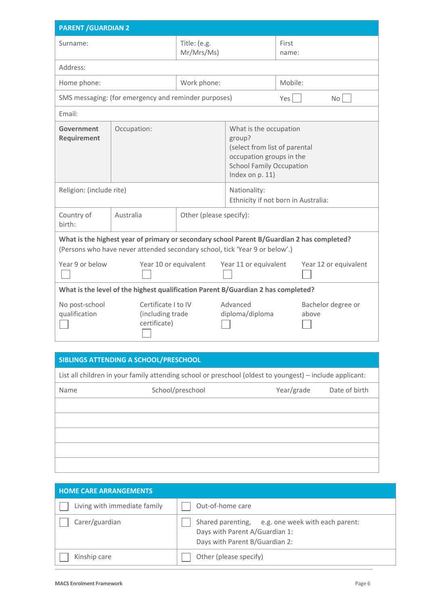| <b>PARENT / GUARDIAN 2</b>                                                                                                                                                |                                                         |                            |                                                                                                                                                     |                |                       |
|---------------------------------------------------------------------------------------------------------------------------------------------------------------------------|---------------------------------------------------------|----------------------------|-----------------------------------------------------------------------------------------------------------------------------------------------------|----------------|-----------------------|
| Surname:                                                                                                                                                                  |                                                         | Title: (e.g.<br>Mr/Mrs/Ms) |                                                                                                                                                     | First<br>name: |                       |
| Address:                                                                                                                                                                  |                                                         |                            |                                                                                                                                                     |                |                       |
| Home phone:                                                                                                                                                               |                                                         | Work phone:                |                                                                                                                                                     | Mobile:        |                       |
|                                                                                                                                                                           | SMS messaging: (for emergency and reminder purposes)    |                            |                                                                                                                                                     | Yes            | No <sub>1</sub>       |
| Email:                                                                                                                                                                    |                                                         |                            |                                                                                                                                                     |                |                       |
| Government<br>Requirement                                                                                                                                                 | Occupation:                                             |                            | What is the occupation<br>group?<br>(select from list of parental<br>occupation groups in the<br><b>School Family Occupation</b><br>Index on p. 11) |                |                       |
|                                                                                                                                                                           | Religion: (include rite)                                |                            | Nationality:<br>Ethnicity if not born in Australia:                                                                                                 |                |                       |
| Country of<br>birth:                                                                                                                                                      | Australia<br>Other (please specify):                    |                            |                                                                                                                                                     |                |                       |
| What is the highest year of primary or secondary school Parent B/Guardian 2 has completed?<br>(Persons who have never attended secondary school, tick 'Year 9 or below'.) |                                                         |                            |                                                                                                                                                     |                |                       |
| Year 9 or below                                                                                                                                                           | Year 10 or equivalent                                   |                            | Year 11 or equivalent                                                                                                                               |                | Year 12 or equivalent |
| What is the level of the highest qualification Parent B/Guardian 2 has completed?                                                                                         |                                                         |                            |                                                                                                                                                     |                |                       |
| No post-school<br>qualification                                                                                                                                           | Certificate I to IV<br>(including trade<br>certificate) |                            | Advanced<br>diploma/diploma                                                                                                                         | above          | Bachelor degree or    |
|                                                                                                                                                                           | F(1)                                                    |                            |                                                                                                                                                     |                |                       |

## **SIBLINGS ATTENDING A SCHOOL/PRESCHOOL**

List all children in your family attending school or preschool (oldest to youngest) – include applicant:

| <b>HOME CARE ARRANGEMENTS</b> |                                                                                                                       |
|-------------------------------|-----------------------------------------------------------------------------------------------------------------------|
| Living with immediate family  | Out-of-home care                                                                                                      |
| Carer/guardian                | Shared parenting, e.g. one week with each parent:<br>Days with Parent A/Guardian 1:<br>Days with Parent B/Guardian 2: |
| Kinship care                  | Other (please specify)                                                                                                |